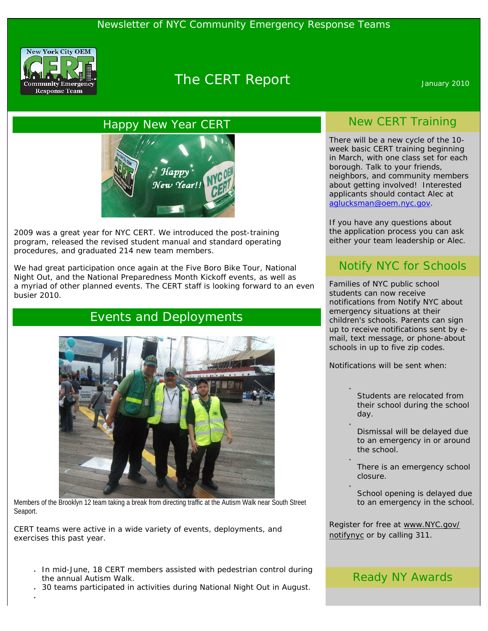

# The CERT Report **CERT** Approximate the *Sanuary* 2010

#### Happy New Year CERT



2009 was a great year for NYC CERT. We introduced the post-training program, released the revised student manual and standard operating procedures, and graduated 214 new team members.

We had great participation once again at the Five Boro Bike Tour, National Night Out, and the National Preparedness Month Kickoff events, as well as a myriad of other planned events. The CERT staff is looking forward to an even busier 2010.

#### Events and Deployments



Members of the Brooklyn 12 team taking a break from directing traffic at the Autism Walk near South Street Seaport.

CERT teams were active in a wide variety of events, deployments, and exercises this past year.

●

- In mid-June, 18 CERT members assisted with pedestrian control during the annual Autism Walk.
- 30 teams participated in activities during National Night Out in August.

## New CERT Training

There will be a new cycle of the 10 week basic CERT training beginning in March, with one class set for each borough. Talk to your friends, neighbors, and community members about getting involved! Interested applicants should contact Alec at [aglucksman@oem.nyc.gov](mailto:aglucksman@oem.nyc.gov).

If you have any questions about the application process you can ask either your team leadership or Alec.

## Notify NYC for Schools

Families of NYC public school students can now receive notifications from Notify NYC about emergency situations at their children's schools. Parents can sign up to receive notifications sent by email, text message, or phone-about schools in up to five zip codes.

Notifications will be sent when:

●

●

- Students are relocated from their school during the school day.
	- Dismissal will be delayed due to an emergency in or around the school.
- There is an emergency school closure.
- School opening is delayed due to an emergency in the school.

Register for free at [www.NYC.gov/](http://www.nyc.gov/notifynyc) [notifynyc](http://www.nyc.gov/notifynyc) or by calling 311.

#### Ready NY Awards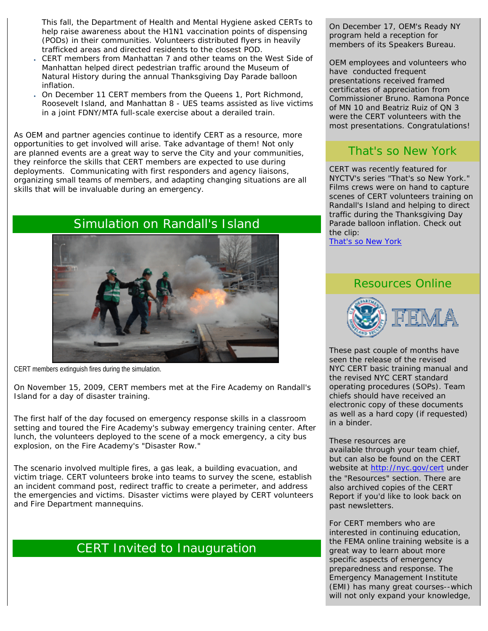This fall, the Department of Health and Mental Hygiene asked CERTs to help raise awareness about the H1N1 vaccination points of dispensing (PODs) in their communities. Volunteers distributed flyers in heavily trafficked areas and directed residents to the closest POD.

- CERT members from Manhattan 7 and other teams on the West Side of Manhattan helped direct pedestrian traffic around the Museum of Natural History during the annual Thanksgiving Day Parade balloon inflation.
- On December 11 CERT members from the Queens 1, Port Richmond, Roosevelt Island, and Manhattan 8 - UES teams assisted as live victims in a joint FDNY/MTA full-scale exercise about a derailed train.

As OEM and partner agencies continue to identify CERT as a resource, more opportunities to get involved will arise. Take advantage of them! Not only are planned events are a great way to serve the City and your communities, they reinforce the skills that CERT members are expected to use during deployments. Communicating with first responders and agency liaisons, organizing small teams of members, and adapting changing situations are all skills that will be invaluable during an emergency.

## Simulation on Randall's Island



CERT members extinguish fires during the simulation.

On November 15, 2009, CERT members met at the Fire Academy on Randall's Island for a day of disaster training.

The first half of the day focused on emergency response skills in a classroom setting and toured the Fire Academy's subway emergency training center. After lunch, the volunteers deployed to the scene of a mock emergency, a city bus explosion, on the Fire Academy's "Disaster Row."

The scenario involved multiple fires, a gas leak, a building evacuation, and victim triage. CERT volunteers broke into teams to survey the scene, establish an incident command post, redirect traffic to create a perimeter, and address the emergencies and victims. Disaster victims were played by CERT volunteers and Fire Department mannequins.

## CERT Invited to Inauguration

On December 17, OEM's Ready NY program held a reception for members of its Speakers Bureau.

OEM employees and volunteers who have conducted frequent presentations received framed certificates of appreciation from Commissioner Bruno. Ramona Ponce of MN 10 and Beatriz Ruiz of QN 3 were the CERT volunteers with the most presentations. Congratulations!

#### That's so New York

CERT was recently featured for NYCTV's series "That's so New York." Films crews were on hand to capture scenes of CERT volunteers training on Randall's Island and helping to direct traffic during the Thanksgiving Day Parade balloon inflation. Check out the clip:

[That's so New York](http://nyc.gov/html/nycmg/nyctvod/html/home/tsny_oem_cert.html)

#### Resources Online



These past couple of months have seen the release of the revised NYC CERT basic training manual and the revised NYC CERT standard operating procedures (SOPs). Team chiefs should have received an electronic copy of these documents as well as a hard copy (if requested) in a binder.

These resources are available through your team chief, but can also be found on the CERT website at<http://nyc.gov/cert> under the "Resources" section. There are also archived copies of the CERT Report if you'd like to look back on past newsletters.

For CERT members who are interested in continuing education, the FEMA online training website is a great way to learn about more specific aspects of emergency preparedness and response. The Emergency Management Institute (EMI) has many great courses--which will not only expand your knowledge,